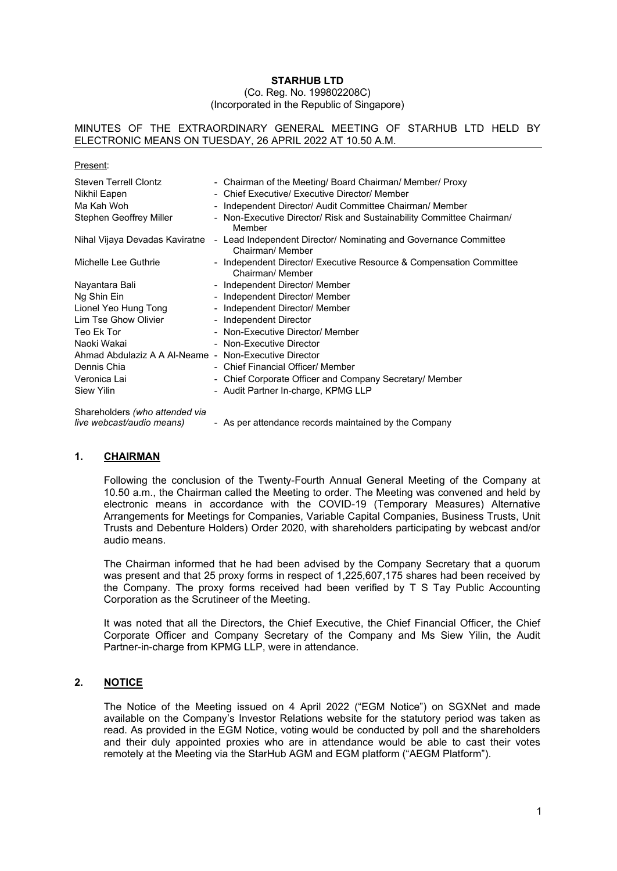#### **STARHUB LTD** (Co. Reg. No. 199802208C) (Incorporated in the Republic of Singapore)

#### MINUTES OF THE EXTRAORDINARY GENERAL MEETING OF STARHUB LTD HELD BY ELECTRONIC MEANS ON TUESDAY, 26 APRIL 2022 AT 10.50 A.M.

| Present:                                              |                          |                                                                                         |
|-------------------------------------------------------|--------------------------|-----------------------------------------------------------------------------------------|
| Steven Terrell Clontz                                 |                          | - Chairman of the Meeting/ Board Chairman/ Member/ Proxy                                |
| Nikhil Eapen                                          |                          | - Chief Executive/ Executive Director/ Member                                           |
| Ma Kah Woh                                            | $\overline{\phantom{a}}$ | Independent Director/ Audit Committee Chairman/ Member                                  |
| Stephen Geoffrey Miller                               |                          | - Non-Executive Director/ Risk and Sustainability Committee Chairman/<br>Member         |
| Nihal Vijaya Devadas Kaviratne                        | $\blacksquare$           | Lead Independent Director/ Nominating and Governance Committee<br>Chairman/ Member      |
| Michelle Lee Guthrie                                  |                          | - Independent Director/ Executive Resource & Compensation Committee<br>Chairman/ Member |
| Nayantara Bali                                        |                          | - Independent Director/ Member                                                          |
| Ng Shin Ein                                           |                          | - Independent Director/ Member                                                          |
| Lionel Yeo Hung Tong                                  |                          | - Independent Director/ Member                                                          |
| Lim Tse Ghow Olivier                                  |                          | - Independent Director                                                                  |
| Teo Ek Tor                                            |                          | - Non-Executive Director/ Member                                                        |
| Naoki Wakai                                           |                          | - Non-Executive Director                                                                |
| Ahmad Abdulaziz A A Al-Neame - Non-Executive Director |                          |                                                                                         |
| Dennis Chia                                           |                          | - Chief Financial Officer/ Member                                                       |
| Veronica Lai                                          |                          | - Chief Corporate Officer and Company Secretary/ Member                                 |
| Siew Yilin                                            |                          | - Audit Partner In-charge, KPMG LLP                                                     |
| Sharaholdare (who attanded via                        |                          |                                                                                         |

Shareholders *(who attended via*

*live webcast/audio means)* - As per attendance records maintained by the Company

# **1. CHAIRMAN**

Following the conclusion of the Twenty-Fourth Annual General Meeting of the Company at 10.50 a.m., the Chairman called the Meeting to order. The Meeting was convened and held by electronic means in accordance with the COVID-19 (Temporary Measures) Alternative Arrangements for Meetings for Companies, Variable Capital Companies, Business Trusts, Unit Trusts and Debenture Holders) Order 2020, with shareholders participating by webcast and/or audio means.

The Chairman informed that he had been advised by the Company Secretary that a quorum was present and that 25 proxy forms in respect of 1,225,607,175 shares had been received by the Company. The proxy forms received had been verified by T S Tay Public Accounting Corporation as the Scrutineer of the Meeting.

It was noted that all the Directors, the Chief Executive, the Chief Financial Officer, the Chief Corporate Officer and Company Secretary of the Company and Ms Siew Yilin, the Audit Partner-in-charge from KPMG LLP, were in attendance.

# **2. NOTICE**

The Notice of the Meeting issued on 4 April 2022 ("EGM Notice") on SGXNet and made available on the Company's Investor Relations website for the statutory period was taken as read. As provided in the EGM Notice, voting would be conducted by poll and the shareholders and their duly appointed proxies who are in attendance would be able to cast their votes remotely at the Meeting via the StarHub AGM and EGM platform ("AEGM Platform").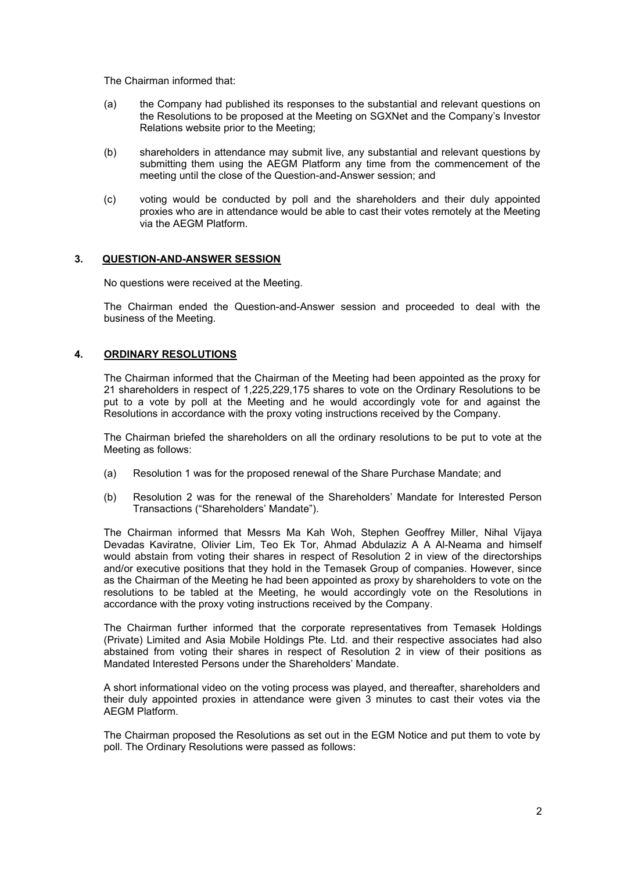The Chairman informed that:

- (a) the Company had published its responses to the substantial and relevant questions on the Resolutions to be proposed at the Meeting on SGXNet and the Company's Investor Relations website prior to the Meeting;
- (b) shareholders in attendance may submit live, any substantial and relevant questions by submitting them using the AEGM Platform any time from the commencement of the meeting until the close of the Question-and-Answer session; and
- (c) voting would be conducted by poll and the shareholders and their duly appointed proxies who are in attendance would be able to cast their votes remotely at the Meeting via the AEGM Platform.

## **3. QUESTION-AND-ANSWER SESSION**

No questions were received at the Meeting.

The Chairman ended the Question-and-Answer session and proceeded to deal with the business of the Meeting.

## **4. ORDINARY RESOLUTIONS**

 The Chairman informed that the Chairman of the Meeting had been appointed as the proxy for 21 shareholders in respect of 1,225,229,175 shares to vote on the Ordinary Resolutions to be put to a vote by poll at the Meeting and he would accordingly vote for and against the Resolutions in accordance with the proxy voting instructions received by the Company.

The Chairman briefed the shareholders on all the ordinary resolutions to be put to vote at the Meeting as follows:

- (a) Resolution 1 was for the proposed renewal of the Share Purchase Mandate; and
- (b) Resolution 2 was for the renewal of the Shareholders' Mandate for Interested Person Transactions ("Shareholders' Mandate").

The Chairman informed that Messrs Ma Kah Woh, Stephen Geoffrey Miller, Nihal Vijaya Devadas Kaviratne, Olivier Lim, Teo Ek Tor, Ahmad Abdulaziz A A Al-Neama and himself would abstain from voting their shares in respect of Resolution 2 in view of the directorships and/or executive positions that they hold in the Temasek Group of companies. However, since as the Chairman of the Meeting he had been appointed as proxy by shareholders to vote on the resolutions to be tabled at the Meeting, he would accordingly vote on the Resolutions in accordance with the proxy voting instructions received by the Company.

The Chairman further informed that the corporate representatives from Temasek Holdings (Private) Limited and Asia Mobile Holdings Pte. Ltd. and their respective associates had also abstained from voting their shares in respect of Resolution 2 in view of their positions as Mandated Interested Persons under the Shareholders' Mandate.

A short informational video on the voting process was played, and thereafter, shareholders and their duly appointed proxies in attendance were given 3 minutes to cast their votes via the AEGM Platform.

The Chairman proposed the Resolutions as set out in the EGM Notice and put them to vote by poll. The Ordinary Resolutions were passed as follows: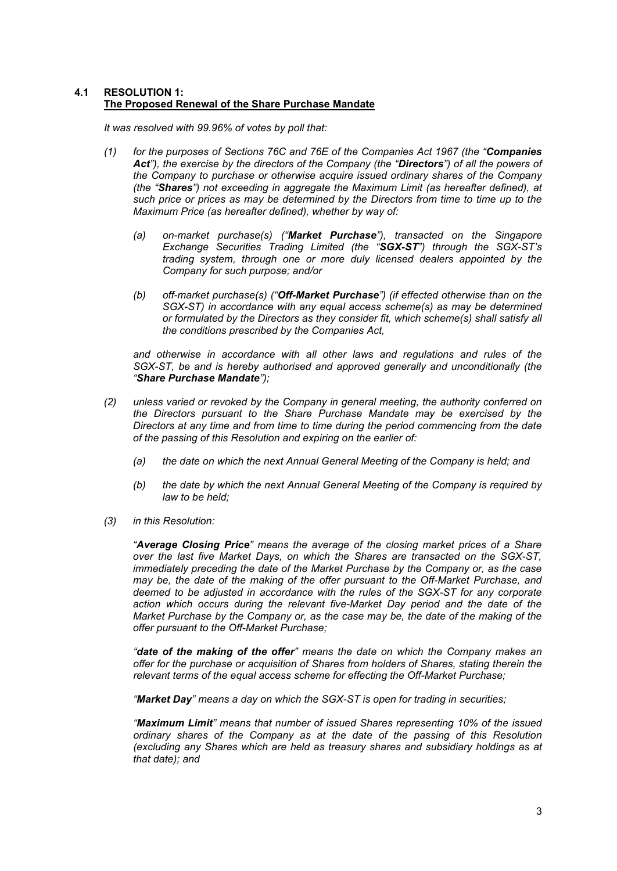## **4.1 RESOLUTION 1: The Proposed Renewal of the Share Purchase Mandate**

*It was resolved with 99.96% of votes by poll that:* 

- *(1) for the purposes of Sections 76C and 76E of the Companies Act 1967 (the "Companies Act"), the exercise by the directors of the Company (the "Directors") of all the powers of the Company to purchase or otherwise acquire issued ordinary shares of the Company (the "Shares") not exceeding in aggregate the Maximum Limit (as hereafter defined), at such price or prices as may be determined by the Directors from time to time up to the Maximum Price (as hereafter defined), whether by way of:*
	- *(a) on-market purchase(s) ("Market Purchase"), transacted on the Singapore Exchange Securities Trading Limited (the "SGX-ST") through the SGX-ST's trading system, through one or more duly licensed dealers appointed by the Company for such purpose; and/or*
	- *(b) off-market purchase(s) ("Off-Market Purchase") (if effected otherwise than on the SGX-ST) in accordance with any equal access scheme(s) as may be determined or formulated by the Directors as they consider fit, which scheme(s) shall satisfy all the conditions prescribed by the Companies Act,*

*and otherwise in accordance with all other laws and regulations and rules of the SGX-ST, be and is hereby authorised and approved generally and unconditionally (the "Share Purchase Mandate");* 

- *(2) unless varied or revoked by the Company in general meeting, the authority conferred on the Directors pursuant to the Share Purchase Mandate may be exercised by the Directors at any time and from time to time during the period commencing from the date of the passing of this Resolution and expiring on the earlier of:*
	- *(a) the date on which the next Annual General Meeting of the Company is held; and*
	- *(b) the date by which the next Annual General Meeting of the Company is required by law to be held;*
- *(3) in this Resolution:*

 *"Average Closing Price" means the average of the closing market prices of a Share over the last five Market Days, on which the Shares are transacted on the SGX-ST, immediately preceding the date of the Market Purchase by the Company or, as the case may be, the date of the making of the offer pursuant to the Off-Market Purchase, and deemed to be adjusted in accordance with the rules of the SGX-ST for any corporate action which occurs during the relevant five-Market Day period and the date of the Market Purchase by the Company or, as the case may be, the date of the making of the offer pursuant to the Off-Market Purchase;* 

*"date of the making of the offer" means the date on which the Company makes an offer for the purchase or acquisition of Shares from holders of Shares, stating therein the relevant terms of the equal access scheme for effecting the Off-Market Purchase;* 

*"Market Day" means a day on which the SGX-ST is open for trading in securities;*

*"Maximum Limit" means that number of issued Shares representing 10% of the issued ordinary shares of the Company as at the date of the passing of this Resolution (excluding any Shares which are held as treasury shares and subsidiary holdings as at that date); and*